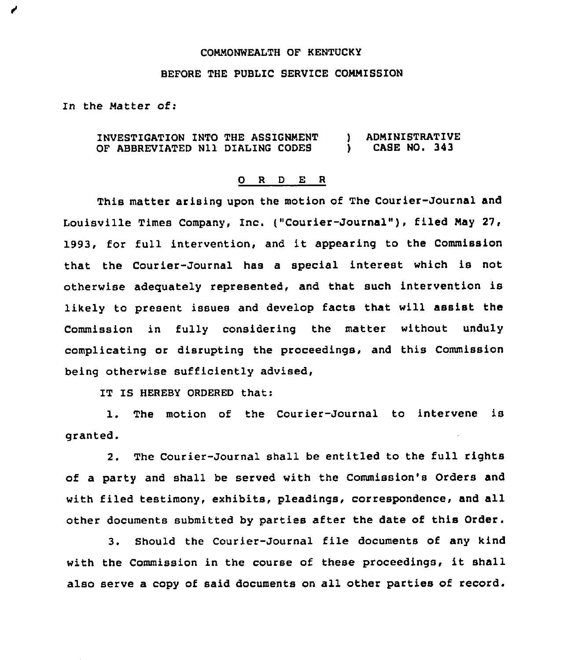## CONNONWEALTH OF KENTUCKY

## BEFORE THE PUBLIC SERVICE CONNISSION

In the Natter of:

✔

## INVESTIGATION INTO THE ASSIGNNENT OF ABBREVIATED Nll DIALING CODES ) ADMINISTRATIVE<br>} CASE NO. 343 ) CASE NO, 343

## 0 <sup>R</sup> <sup>D</sup> E <sup>R</sup>

This matter arising upon the motion of The Courier-Journal and Louisville Times Company, Inc. ("Courier-Journal"), filed May 27, 1993, for full intervention, and it appearing to the Commission that the Courier-Journal has a special interest which is not otherwise adequately represented, and that such intervention is likely to present issues and develop facts that will assist the Commission in fully considering the matter without unduly complicating or disrupting the proceedings, and this Commission being otherwise sufficiently advised,

IT IS HEREBY ORDERED that:

1. The motion of the Courier-Journal to intervene is granted.

2. The Courier-Journal shall be entitled to the full rights of a party and shall be served with the Commission's Orders and with filed testimony, exhibits, pleadings, correspondence, and all other documents submitted by parties after the date of this Order.

3. Should the Courier-Journal file documents of any kind with the Commission in the course of these proceedings, it shall also serve a copy of said documents on all other parties of record.